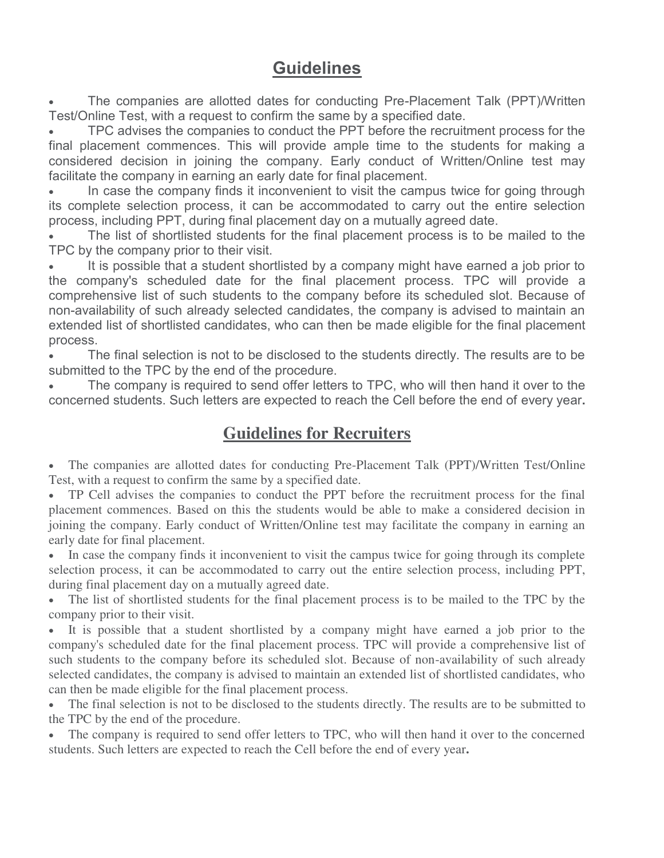## **Guidelines**

 The companies are allotted dates for conducting Pre-Placement Talk (PPT)/Written Test/Online Test, with a request to confirm the same by a specified date.

 TPC advises the companies to conduct the PPT before the recruitment process for the final placement commences. This will provide ample time to the students for making a considered decision in joining the company. Early conduct of Written/Online test may facilitate the company in earning an early date for final placement.

 In case the company finds it inconvenient to visit the campus twice for going through its complete selection process, it can be accommodated to carry out the entire selection process, including PPT, during final placement day on a mutually agreed date.

 The list of shortlisted students for the final placement process is to be mailed to the TPC by the company prior to their visit.

 It is possible that a student shortlisted by a company might have earned a job prior to the company's scheduled date for the final placement process. TPC will provide a comprehensive list of such students to the company before its scheduled slot. Because of non-availability of such already selected candidates, the company is advised to maintain an extended list of shortlisted candidates, who can then be made eligible for the final placement process.

 The final selection is not to be disclosed to the students directly. The results are to be submitted to the TPC by the end of the procedure.

 The company is required to send offer letters to TPC, who will then hand it over to the concerned students. Such letters are expected to reach the Cell before the end of every year**.**

## **Guidelines for Recruiters**

 The companies are allotted dates for conducting Pre-Placement Talk (PPT)/Written Test/Online Test, with a request to confirm the same by a specified date.

 TP Cell advises the companies to conduct the PPT before the recruitment process for the final placement commences. Based on this the students would be able to make a considered decision in joining the company. Early conduct of Written/Online test may facilitate the company in earning an early date for final placement.

• In case the company finds it inconvenient to visit the campus twice for going through its complete selection process, it can be accommodated to carry out the entire selection process, including PPT, during final placement day on a mutually agreed date.

 The list of shortlisted students for the final placement process is to be mailed to the TPC by the company prior to their visit.

 It is possible that a student shortlisted by a company might have earned a job prior to the company's scheduled date for the final placement process. TPC will provide a comprehensive list of such students to the company before its scheduled slot. Because of non-availability of such already selected candidates, the company is advised to maintain an extended list of shortlisted candidates, who can then be made eligible for the final placement process.

 The final selection is not to be disclosed to the students directly. The results are to be submitted to the TPC by the end of the procedure.

• The company is required to send offer letters to TPC, who will then hand it over to the concerned students. Such letters are expected to reach the Cell before the end of every year**.**